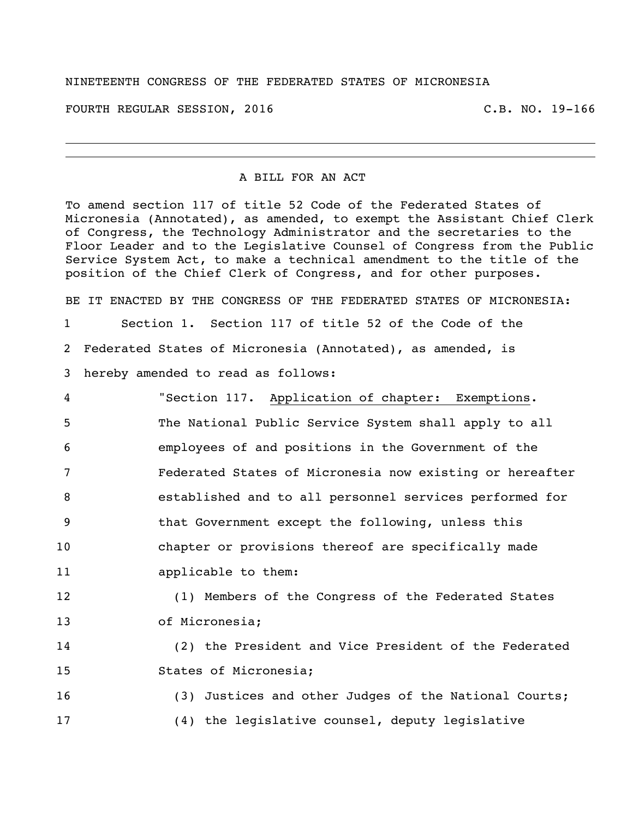## NINETEENTH CONGRESS OF THE FEDERATED STATES OF MICRONESIA

FOURTH REGULAR SESSION, 2016 C.B. NO. 19-166

## A BILL FOR AN ACT

To amend section 117 of title 52 Code of the Federated States of Micronesia (Annotated), as amended, to exempt the Assistant Chief Clerk of Congress, the Technology Administrator and the secretaries to the Floor Leader and to the Legislative Counsel of Congress from the Public Service System Act, to make a technical amendment to the title of the position of the Chief Clerk of Congress, and for other purposes.

BE IT ENACTED BY THE CONGRESS OF THE FEDERATED STATES OF MICRONESIA:

Section 1. Section 117 of title 52 of the Code of the

Federated States of Micronesia (Annotated), as amended, is

- hereby amended to read as follows:
- "Section 117. Application of chapter: Exemptions. The National Public Service System shall apply to all employees of and positions in the Government of the Federated States of Micronesia now existing or hereafter established and to all personnel services performed for that Government except the following, unless this chapter or provisions thereof are specifically made applicable to them:

 (1) Members of the Congress of the Federated States of Micronesia;

 (2) the President and Vice President of the Federated States of Micronesia;

 (3) Justices and other Judges of the National Courts; (4) the legislative counsel, deputy legislative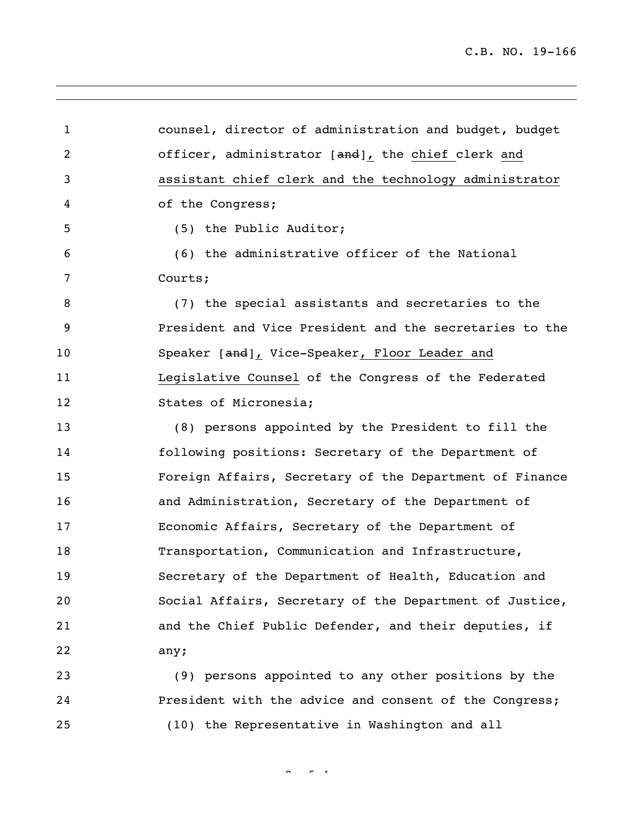C.B. NO. 19-166

 counsel, director of administration and budget, budget 2 officer, administrator [and], the chief clerk and assistant chief clerk and the technology administrator of the Congress; (5) the Public Auditor; (6) the administrative officer of the National Courts; (7) the special assistants and secretaries to the President and Vice President and the secretaries to the 10 Speaker [and], Vice-Speaker, Floor Leader and Legislative Counsel of the Congress of the Federated States of Micronesia; (8) persons appointed by the President to fill the following positions: Secretary of the Department of Foreign Affairs, Secretary of the Department of Finance and Administration, Secretary of the Department of Economic Affairs, Secretary of the Department of 18 Transportation, Communication and Infrastructure, Secretary of the Department of Health, Education and Social Affairs, Secretary of the Department of Justice, and the Chief Public Defender, and their deputies, if any; (9) persons appointed to any other positions by the

 President with the advice and consent of the Congress; (10) the Representative in Washington and all

 $2 - 4$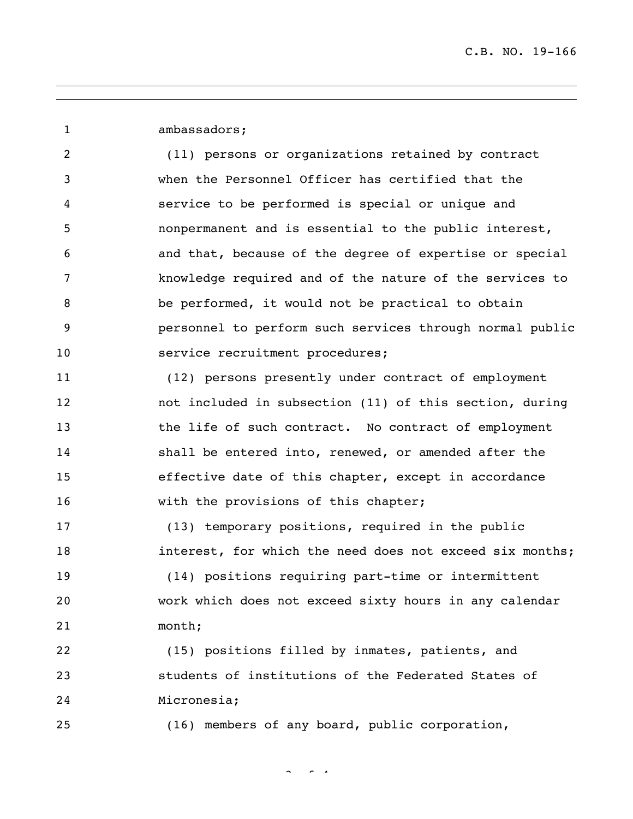ambassadors; (11) persons or organizations retained by contract when the Personnel Officer has certified that the service to be performed is special or unique and nonpermanent and is essential to the public interest, and that, because of the degree of expertise or special knowledge required and of the nature of the services to be performed, it would not be practical to obtain personnel to perform such services through normal public 10 service recruitment procedures; (12) persons presently under contract of employment not included in subsection (11) of this section, during 13 the life of such contract. No contract of employment shall be entered into, renewed, or amended after the effective date of this chapter, except in accordance 16 with the provisions of this chapter; (13) temporary positions, required in the public interest, for which the need does not exceed six months; (14) positions requiring part-time or intermittent work which does not exceed sixty hours in any calendar month; (15) positions filled by inmates, patients, and students of institutions of the Federated States of Micronesia;

(16) members of any board, public corporation,

 $\sim$   $\sim$   $\sim$